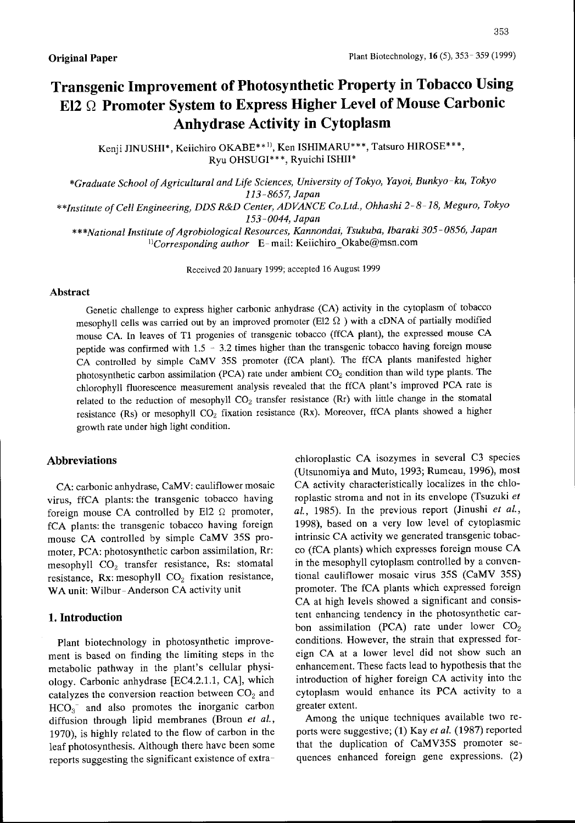# Transgenic Improvement of Photosynthetic Property in Tobacco Using  $E12 ~\Omega$  Promoter System to Express Higher Level of Mouse Carbonic Anhydrase Activity in Cytoplasm

Kenji JINUSHI\*, Keiichiro OKABE\*\*<sup>1)</sup>, Ken ISHIMARU\*\*\*, Tatsuro HIROSE\*\*\*, Ryu OHSUGI\* \* \*, Ryuichi ISHll\*

\*Graduate School of Agricultural and Life Sciences, University of Tokyo, Yayoi, Bunkyo-ku, Tokyo 113-8657, Japan

\* \*Institute of Cell Engineering. DDS R&D Center. ADVANCE Co.Ltd., Ohhashi 2- 8- 18, Meguro. Tokyo 153-0044, Japan

\*\*\*National Institute of Agrobiological Resources, Kannondai, Tsukuba, Ibaraki 305-0856, Japan  $\Gamma$ Corresponding author E-mail: Keiichiro\_Okabe@msn.com

Received 20 January 1999; accepted 16 August 1999

## Abstract

Genetic challenge to express higher carbonic anhydrase (CA) activity in the cytoplasm of tobacco mesophyll cells was carried out by an improved promoter (El2  $\Omega$  ) with a cDNA of partially modified mouse CA. In leaves of T1 progenies of transgenic tobacco (ffCA plant), the expressed mouse CA peptide was confirmed with  $1.5 - 3.2$  times higher than the transgenic tobacco having foreign mouse CA controlled by simple CaMV 35S promoter (fCA plant). The ffCA plants manifested higher photosynthetic carbon assimilation (PCA) rate under ambient C02 condition than wild type plants. The chlorophyll fluorescence measurement analysis revealed that the ffCA plant's improved PCA rate is related to the reduction of mesophyll  $CO<sub>2</sub>$  transfer resistance (Rr) with little change in the stomatal resistance (Rs) or mesophyll  $CO<sub>2</sub>$  fixation resistance (Rx). Moreover, ffCA plants showed a higher growth rate under high light condition.

## Abbreviations

CA: carbonic anhydrase, CaMV: cauliflower mosaic virus, ffCA plants: the transgenic tobacco having foreign mouse CA controlled by El2  $\Omega$  promoter, fCA plants: the transgenic tobacco having foreign mouse CA controlled by simple CaMV 35S promoter, PCA: photosynthetic carbon assimilation, Rr: mesophyll  $CO<sub>2</sub>$  transfer resistance, Rs: stomatal resistance, Rx: mesophyll  $CO<sub>2</sub>$  fixation resistance, WA unit: Wilbur-Anderson CA activity unit

# l. Introduction

Plant biotechnology in photosynthetic improvement is based on finding the limiting steps in the metabolic pathway in the plant's cellular physiology. Carbonic anhydrase [EC4.2.1.1, CA], which catalyzes the conversion reaction between  $CO<sub>2</sub>$  and  $HCO<sub>3</sub>$  and also promotes the inorganic carbon diffusion through lipid membranes (Broun et al., 1970), is highly related to the flow of carbon in the leaf photosynthesis. Although there have been some reports suggesting the significant existence of extrachloroplastic CA isozymes in several C3 species (Utsunomiya and Muto, 1993; Rumeau, 1996), most CA activity characteristically localizes in the chloroplastic stroma and not in its envelope (Tsuzuki et  $al.$ , 1985). In the previous report (Jinushi et al., 1998), based on a very low level of cytoplasmic intrinsic CA activity we generated transgenic tobacco (fCA plants) which expresses foreign mouse CA in the mesophyll cytoplasm controlled by a conventional cauliflower mosaic virus 35S (CaMV 35S) promoter. The fCA plants which expressed foreign CA at high levels showed a significant and consistent enhancing tendency in the photosynthetic carbon assimilation (PCA) rate under lower  $CO<sub>2</sub>$ conditions. However, the strain that expressed foreign CA at a lower level did not show such an enhancement. These facts lead to hypothesis that the introduction of higher foreign CA activity into the cytoplasm would enhance its PCA activity to <sup>a</sup> greater extent.

Among the unique techniques available two reports were suggestive; (1) Kay et al. (1987) reported that the duplication of CaMV35S promoter sequences enhanced foreign gene expressions. (2)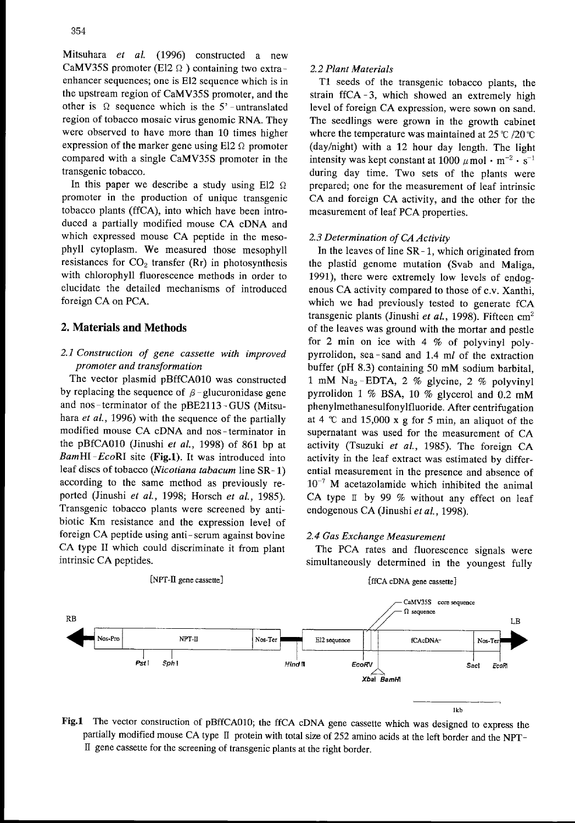Mitsuhara et al. (1996) constructed a new CaMV35S promoter (E12  $\Omega$ ) containing two extraenhancer sequences; one is E12 sequence which is in the upstream region of CaMV35S promoter, and the other is  $\Omega$  sequence which is the  $5'$ -untranslated region of tobacco mosaic virus genomic RNA. They were observed to have more than 10 times higher expression of the marker gene using E12  $\Omega$  promoter compared with a single CaMV35S promoter in the transgenic tobacco.

In this paper we describe a study using El2  $\Omega$ promoter in the production of unique transgenic tobacco plants (ffCA), into which have been introduced a partially modified mouse CA cDNA and which expressed mouse CA peptide in the mesophyll cytoplasm. We measured those mesophyll resistances for  $CO<sub>2</sub>$  transfer (Rr) in photosynthesis with chlorophyll fluorescence methods in order to elucidate the detailed mechanisms of introduced foreign CA on PCA.

## 2. Materials and Methods

# 2.1 Construction of gene cassette with improved promoter and transformation

The vector plasmid pBffCAOIO was constructed by replacing the sequence of  $\beta$ -glucuronidase gene and nos-terminator of the pBE2113 - GUS (Mitsuhara et al., 1996) with the sequence of the partially modified mouse CA cDNA and nos-terminator in the pBfCAOIO (Jinushi et al., 1998) of 861 bp at  $BamHI-EcoRI$  site (Fig.1). It was introduced into leaf discs of tobacco (Nicotiana tabacum line SR- 1) according to the same method as previously reported (Jinushi et al., 1998; Horsch et al., 1985). Transgenic tobacco plants were screened by antibiotic Km resistance and the expression level of foreign CA peptide using anti- serum against bovine CA type <sup>11</sup> which could discriminate it from plant intrinsic CA peptides.

### [NPT-II gene cassette]

# 2.2 Plant Materials

T1 seeds of the transgenic tobacco plants, the strain ffCA -3, which showed an extremely high level of foreign CA expression, were sown on sand. The seedlings were grown in the growth cabinet where the temperature was maintained at  $25 \degree C / 20 \degree C$ (day/night) with a 12 hour day length. The light intensity was kept constant at 1000  $\mu$  mol  $\cdot$  m<sup>-2</sup>  $\cdot$  s<sup>-1</sup> during day time. Two sets of the plants were prepared; one for the measurement of leaf intrinsic CA and foreign CA activity, and the other for the measurement of leaf PCA properties.

## 2.3 Determination of CA Activity

In the leaves of line  $SR-1$ , which originated from the plastid genome mutation (Svab and Maliga, 1991), there were extremely low levels of endogenous CA activity compared to those of c,v. Xanthi, which we had previously tested to generate fCA transgenic plants (Jinushi et al., 1998). Fifteen  $cm<sup>2</sup>$ of the leaves was ground with the mortar and pestle for 2 min on ice with 4 % of polyvinyl polypyrrolidon, sea -sand and 1.4 ml of the extraction buffer (pH 8.3) containing <sup>50</sup> mM sodium barbital, 1 mM Na<sub>2</sub> - EDTA, 2 % glycine, 2 % polyvinyl pyrrolidon I % BSA, <sup>10</sup> % glycerol and 0.2 mM phenyImethanesulfonyIfluoride. After centrifugation at  $4 \text{ }^{\circ}$  c and  $15,000 \text{ x g}$  for 5 min, an aliquot of the supernatant was used for the measurement of CA activity (Tsuzuki et al., 1985). The foreign CA activity in the leaf extract was estimated by differential measurement in the presence and absence of  $10^{-7}$  M acetazolamide which inhibited the animal CA type  $\mathbb I$  by 99 % without any effect on leaf endogenous CA (Jinushi *et al.*, 1998).

## 2.4 Gas Exchange Measurement

The PCA rates and fluorescence signals were simultaneously determined in the youngest fully

#### [ffCA cDNA gene cassette]



Fig.1 The vector construction of pBffCA010; the ffCA cDNA gene cassette which was designed to express the partially modified mouse CA type II protein with total size of <sup>252</sup> amino acids at the left border and the NPT-II gene cassette for the screening of transgenic plants at the right border.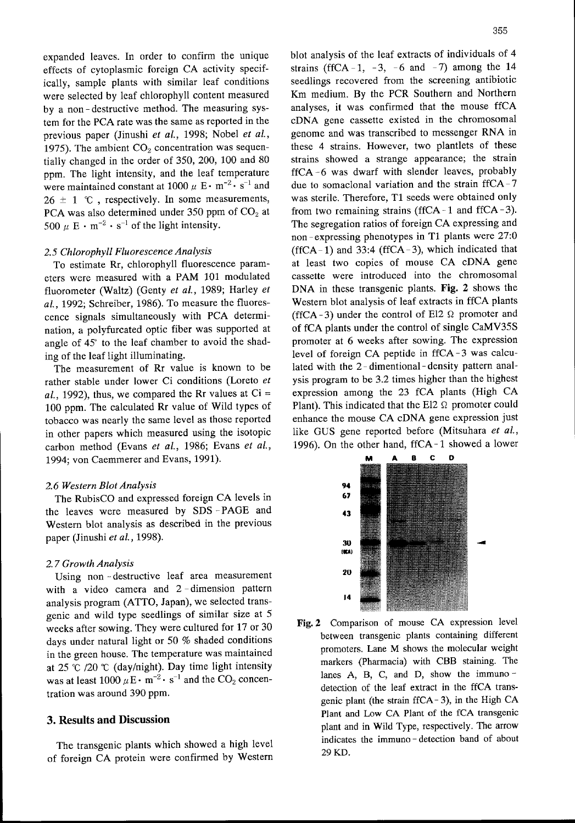expanded leaves. In order to confirm the unique effects of cytoplasmic foreign CA activity specifically, sample plants with similar leaf conditions were selected by leaf chlorophyll content measured by a non -destructive method. The measuring system for the PCA rate was the same as reported in the previous paper (Jinushi et al., 1998; Nobel et al., 1975). The ambient  $CO<sub>2</sub>$  concentration was sequentially changed in the order of 350, 200, 100 and 80 ppm. The light intensity, and the leaf temperature were maintained constant at  $1000 \mu$  E  $\cdot$  m<sup>-2</sup>  $\cdot$  s<sup>-1</sup> and  $26 \pm 1$  °C, respectively. In some measurements, PCA was also determined under 350 ppm of  $CO<sub>2</sub>$  at 500  $\mu$  E  $\cdot$  m<sup>-2</sup>  $\cdot$  s<sup>-1</sup> of the light intensity.

# 2.5 Chlorophyll Fluorescence Analysis

To estimate Rr, chlorophyll fluorescence parameters were measured with <sup>a</sup> PAM <sup>101</sup> modulated fluorometer (Waltz) (Genty et al., 1989; Harley et al., 1992; Schreiber, 1986). To measure the fluorescence signals simultaneously with PCA determination, a polyfurcated optic fiber was supported at angle of 45' to the leaf chamber to avoid the shading of the leaf light illuminating.

The measurement of Rr value is known to be rather stable under lower Ci conditions (Loreto et al., 1992), thus, we compared the Rr values at  $Ci =$ 100 ppm. The calculated Rr value of Wild types of tobacco was nearly the same level as those reported in other papers which measured using the isotopic carbon method (Evans et al., 1986; Evans et al., 1994; von Caemmerer and Evans, 1991).

#### 2.6 Western Blot Analysis

The RubisCO and expressed foreign CA Ievels in the leaves were measured by SDS -PAGE and Western blot analysis as described in the previous paper (Jinushi et al., 1998).

### 2. 7Growth Analysis

Using non - destructive leaf area measurement with a video camera and 2-dimension pattern analysis program (ATTO, Japan), we selected transgenic and wild type seedlings of similar size at 5 weeks after sowing. They were cultured for 17 or 30 days under natural light or <sup>50</sup> % shaded conditions in the green house. The temperature was maintained at 25 °C /20 °C (day/night). Day time light intensity was at least  $1000 \mu \text{E} \cdot \text{m}^{-2} \cdot \text{s}^{-1}$  and the CO<sub>2</sub> concentration was around 390 ppm.

# 3. Results and Discussion

The transgenic plants which showed a high level of foreign CA protein were confirmed by Western blot analysis of the leaf extracts of individuals of 4 strains (ffCA-1, -3, -6 and -7) among the 14 seedlings recovered from the screening antibiotic Km medium. By the PCR Southern and Northern analyses, it was confirmed that the mouse ffCA cDNA gene cassette existed in the chromosomal genome and was transcribed to messenger RNA in these 4 strains. However, two plantlets of these strains showed a strange appearance; the strain ffCA -6 was dwarf with slender leaves, probably due to somaclonal variation and the strain ffCA - 7 was sterile. Therefore, T1 seeds were obtained only from two remaining strains (ffCA - 1 and ffCA - 3). The segregation ratios of foreign CA expressing and non-expressing phenotypes in T1 plants were  $27:0$ (ffCA-1) and 33:4 (ffCA-3), which indicated that at least two copies of mouse CA CDNA gene cassette were introduced into the chromosomal DNA in these transgenic plants. Fig. 2 shows the Western blot analysis of leaf extracts in ffCA plants (ffCA - 3) under the control of El2  $\Omega$  promoter and of fCA plants under the control of single CaMV35S promoter at 6 weeks after sowing. The expression level of foreign CA peptide in ffCA - 3 was calculated with the 2- dimentional-density pattern analysis program to be 3.2 times higher than the highest expression among the <sup>23</sup> fCA plants (High CA Plant). This indicated that the E12  $\Omega$  promoter could enhance the mouse CA CDNA gene expression just like GUS gene reported before (Mitsuhara et al., 1996). On the other hand, ffCA-1 showed a lower



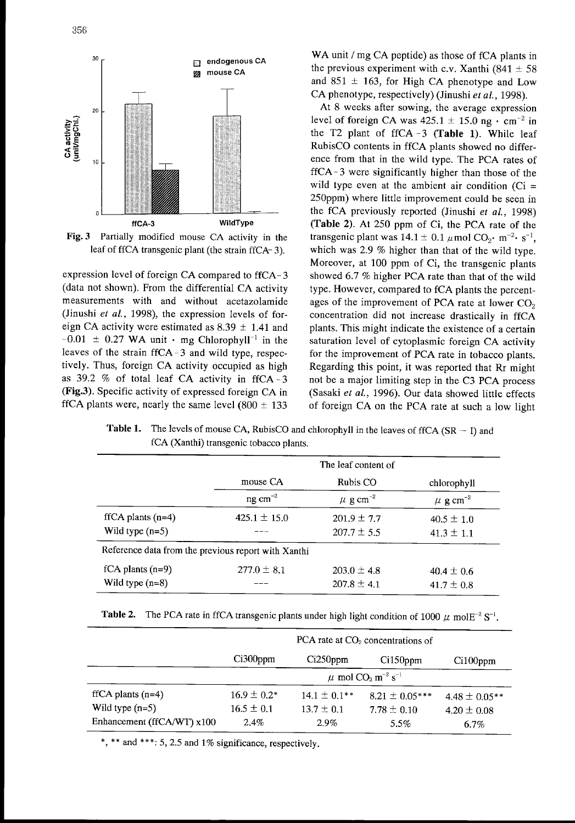

Fig. 3 Partially modified mouse CA activity in the leaf of ffCA transgenic plant (the strain ffCA-3).

expression level of foreign CA compared to ffCA-3 (data not shown). From the differential CA activity measurements with and without acetazolamide (Jinushi et al., 1998), the expression levels of foreign CA activity were estimated as  $8.39 \pm 1.41$  and  $-0.01 \pm 0.27$  WA unit  $\cdot$  mg Chlorophyll<sup>-1</sup> in the leaves of the strain ffCA-3 and wild type, respectively. Thus, foreign CA activity occupied as high as 39.2 % of total leaf CA activity in ffCA -3 (Fig.3). Specific activity of expressed foreign CA in ffCA plants were, nearly the same level  $(800 \pm 133)$  WA unit / mg CA peptide) as those of fCA plants in the previous experiment with c.v. Xanthi (841  $\pm$  58) and 851  $\pm$  163, for High CA phenotype and Low  $C_A$  phenotype, respectively) (Jinushi *et al.*, 1998).

At 8 weeks after sowing, the average expression level of foreign CA was  $425.1 \pm 15.0$  ng  $\cdot$  cm<sup>-2</sup> in the T2 plant of ffCA -3 (Table 1). While leaf RubisCO contents in ffCA plants showed no difference from that in the wild type. The PCA rates of ffCA- 3were significantly higher than those of the wild type even at the ambient air condition ( $Ci =$ 250ppm) where little improvement could be seen in the fCA previously reported (Jinushi et al., 1998) (Table 2). At 250 ppm of Ci, the PCA rate of the transgenic plant was  $14.1 \pm 0.1 \mu$  mol CO<sub>2</sub>· m<sup>-2</sup>· s<sup>-1</sup>, which was 2.9 % higher than that of the wild type. Moreover, at 100 ppm of Ci, the transgenic plants showed 6.7 % higher PCA rate than that of the wild type. However, compared to fCA plants the percentages of the improvement of PCA rate at lower  $CO<sub>2</sub>$ concentration did not increase drastically in ffCA plants. This might indicate the existence of a certain saturation level of cytoplasmic foreign CA activity for the improvement of PCA rate in tobacco plants. Regarding this point, it was reported that Rr might not be <sup>a</sup> major limiting step in the C3 PCA process (Sasaki et al., 1996). Our data showed little effects of foreign CA on the PCA rate at such <sup>a</sup> low light

ffCA plants (n=4) Wild type (n=5) mouse CA ng  $cm^{-2}$  $425.1 \pm 15.0$ Reference data from the previous report with Xanthi fCA plants (n=9) 277.0  $\pm$  8.1 Wild type (n=8) --- The leaf content of Rubis CO  $\mu$  g cm<sup>-2</sup>  $201.9 \pm 7.7$  $207.7 \pm 5.5$  $203.0 \pm 4.8$  $207.8 \pm 4.1$ chlorophyll  $\mu$  g cm<sup>-2</sup>  $40.5 \pm 1.0$  $41.3 \pm 1.1$  $40.4 \pm 0.6$  $41.7 \pm 0.8$ 

Table 1. The levels of mouse CA, RubisCO and chlorophyll in the leaves of ffCA  $(SR - I)$  and fCA (Xanthi) transgenic tobacco plants.

**Table 2.** The PCA rate in ffCA transgenic plants under high light condition of 1000  $\mu$  molE<sup>-2</sup> S<sup>-1</sup>.

|                            | PCA rate at $CO2$ concentrations of                       |                   |                    |                   |  |
|----------------------------|-----------------------------------------------------------|-------------------|--------------------|-------------------|--|
|                            | $Ci300$ ppm                                               | Ci250ppm          | $Ci150$ ppm        | $Ci100$ ppm       |  |
|                            | $\mu$ mol CO <sub>2</sub> m <sup>-2</sup> s <sup>-1</sup> |                   |                    |                   |  |
| $fICA$ plants (n=4)        | $16.9 \pm 0.2*$                                           | $14.1 \pm 0.1***$ | $8.21 \pm 0.05***$ | $4.48 \pm 0.05**$ |  |
| Wild type $(n=5)$          | $16.5 \pm 0.1$                                            | $13.7 \pm 0.1$    | $7.78 \pm 0.10$    | $4.20 \pm 0.08$   |  |
| Enhancement (ffCA/WT) x100 | $2.4\%$                                                   | $2.9\%$           | 5.5%               | 6.7%              |  |

\*, \*\* and \*\*\*; 5, 2.5 and 1% significance, respectively.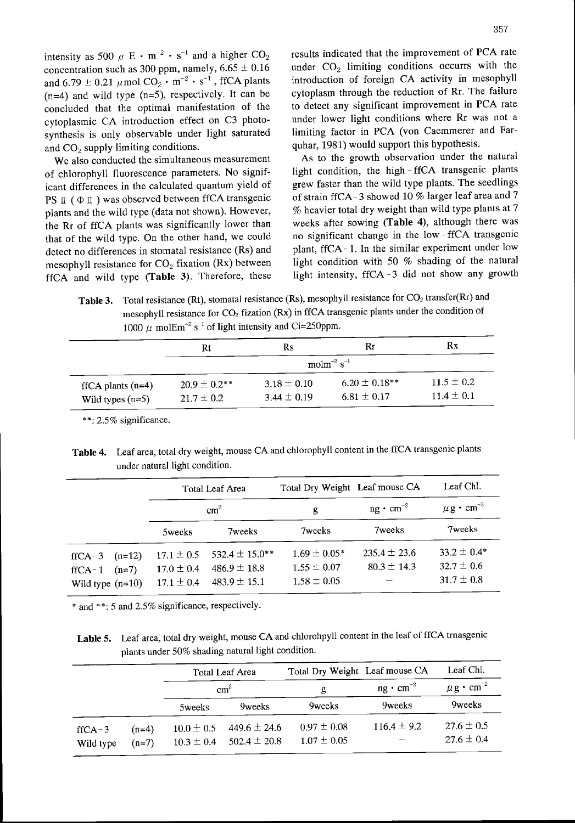intensity as 500  $\mu$  E  $\cdot$  m<sup>-2</sup>  $\cdot$  s<sup>-1</sup> and a and  $6.79 \pm 0.21 \mu$  mol  $CO_2 \cdot m^{-2} \cdot s^{-1}$ , and  $CO<sub>2</sub>$  supply limiting conditions.  $quhar$ , 1981) would support this hypothesis.

of chlorophyll fluorescence parameters. No significant differences in the calculated quantum yield of grew faster than the wild type plants. The seedlings PS  $\pi$  ( $\Phi$  $\pi$ ) was observed between ffCA transgenic of strain ffCA-3 showed 10 % larger leaf area and 7 plants and the wild type (data not shown). However, % heavier total dry weight than wild type plants at 7 the Rr of ffCA plants was significantly lower than weeks after sowing (Table 4), although there was that of the wild type. On the other hand, we could no significant change in the low-ffCA transgenic detect no differences in stomatal resistance (Rs) and mesophyll resistance for  $CO_2$  fixation (Rx) between light condition with 50 % shading of the natural ffCA and wild type (Table 3). Therefore, these light intensity, ffCA-3 did not show any growth

results indicated that the improvement of PCA rate concentration such as 300 ppm, namely,  $6.65 \pm 0.16$  under  $CO<sub>2</sub>$  limiting conditions occurrs with the introduction of foreign CA activity in mesophyll  $(n=4)$  and wild type  $(n=5)$ , respectively. It can be cytoplasm through the reduction of Rr. The failure concluded that the optimal manifestation of the to detect any significant improvement in PCA rate cytoplasmic CA introduction effect on C3 photo- under lower light conditions where Rr was not <sup>a</sup> synthesis is only observable under light saturated limiting factor in PCA (von Caemmerer and Far-

We also conducted the simultaneous measurement As to the growth observation under the natural light condition, the high-ffCA transgenic plants  $%$  heavier total dry weight than wild type plants at 7 plant, ffCA-1. In the similar experiment under low

Table 3. Total resistance (Rt), stomatal resistance (Rs), mesophyll resistance for  $CO<sub>2</sub>$  transfer(Rr) and mesophyll resistance for CO<sub>2</sub> fization (Rx) in ffCA transgenic plants under the condition of 1000  $\mu$  molEm<sup>-2</sup> s<sup>-1</sup> of light intensity and Ci=250ppm.

|                                             | Rt                                    | Rs                                 | Rr                                    | Rx                               |  |  |
|---------------------------------------------|---------------------------------------|------------------------------------|---------------------------------------|----------------------------------|--|--|
|                                             |                                       | molm <sup>-2</sup> s <sup>-1</sup> |                                       |                                  |  |  |
| $fICA$ plants $(n=4)$<br>Wild types $(n=5)$ | $20.9 \pm 0.2^{**}$<br>$21.7 \pm 0.2$ | $3.18 \pm 0.10$<br>$3.44 \pm 0.19$ | $6.20 \pm 0.18***$<br>$6.81 \pm 0.17$ | $11.5 \pm 0.2$<br>$11.4 \pm 0.1$ |  |  |

\* \*: 2.5% significance.

Table 4. Leaf area, total dry weight, mouse CA and chlorophyll content in the ffCA transgenic plants under natural light condition.

|                                                               | Total Leaf Area<br>$\text{cm}^2$                   |                                                            | Total Dry Weight Leaf mouse CA                         |                                     | Leaf Chl.                                           |
|---------------------------------------------------------------|----------------------------------------------------|------------------------------------------------------------|--------------------------------------------------------|-------------------------------------|-----------------------------------------------------|
|                                                               |                                                    |                                                            | g                                                      | $ng \cdot cm^{-2}$                  | $\mu$ g $\cdot$ cm <sup>-2</sup>                    |
|                                                               | 5weeks                                             | 7weeks                                                     | 7weeks                                                 | 7weeks                              | 7weeks                                              |
| $(n=12)$<br>$fICA-3$<br>$f(CA-1 (n=7))$<br>Wild type $(n=10)$ | $17.1 \pm 0.5$<br>$17.0 \pm 0.4$<br>$17.1 \pm 0.4$ | 532.4 $\pm$ 15.0**<br>$486.9 \pm 18.8$<br>$483.9 \pm 15.1$ | $1.69 \pm 0.05*$<br>$1.55 \pm 0.07$<br>$1.58 \pm 0.05$ | $235.4 \pm 23.6$<br>$80.3 \pm 14.3$ | $33.2 \pm 0.4*$<br>$32.7 \pm 0.6$<br>$31.7 \pm 0.8$ |

\* and \*\*: 5 and 2.5% significance, respectively.

Lable 5. Leaf area, total dry weight, mouse CA and chlorohpyll content in the leaf of ffCA trnasgenic plants under 50% shading natural light condition.

|                              |                    | Total Leaf Area<br>$\text{cm}^2$ |                                      | Total Dry Weight Leaf mouse CA     |                    | Leaf Chl.                        |
|------------------------------|--------------------|----------------------------------|--------------------------------------|------------------------------------|--------------------|----------------------------------|
|                              |                    |                                  |                                      | g                                  | $ng \cdot cm^{-2}$ | $\mu$ g $\cdot$ cm <sup>-2</sup> |
|                              |                    | 5weeks                           | 9weeks                               | 9weeks                             | 9weeks             | <b>9</b> weeks                   |
| $f_{\rm ICA-3}$<br>Wild type | $(n=4)$<br>$(n=7)$ | $10.0 \pm 0.5$<br>$10.3 \pm 0.4$ | 449.6 $\pm$ 24.6<br>$502.4 \pm 20.8$ | $0.97 \pm 0.08$<br>$1.07 \pm 0.05$ | $116.4 \pm 9.2$    | $27.6 \pm 0.5$<br>$27.6 \pm 0.4$ |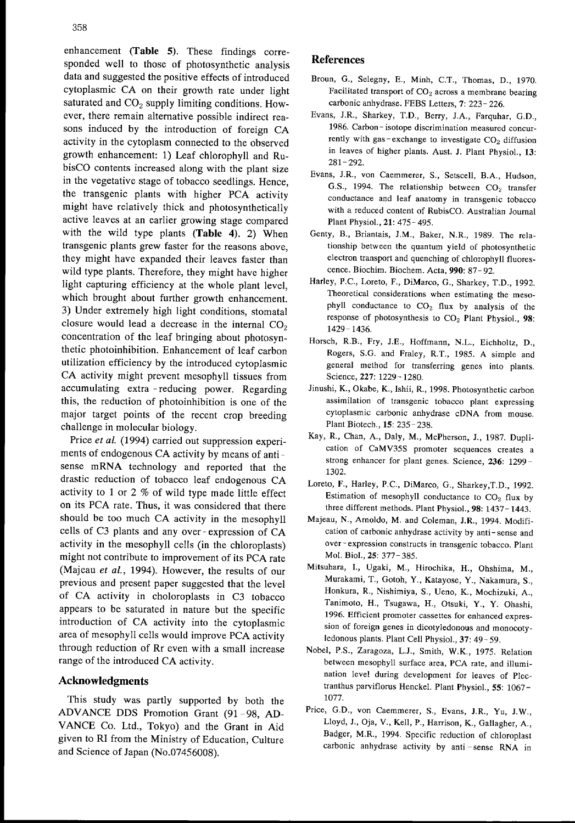enhancement (Table 5). These findings corresponded well to those of photosynthetic analysis data and suggested the positive effects of introduced cytoplasmic CA on their growth rate under light saturated and  $CO<sub>2</sub>$  supply limiting conditions. However, there remain alternative possible indirect reasons induced by the introduction of foreign CA activity in the cytoplasm connected to the observed growth enhancement: 1) Leaf chlorophyll and RubisCO contents increased along with the plant size in the vegetative stage of tobacco seedlings. Hence, the transgenic plants with higher PCA activity might have relatively thick and photosynthetically active leaves at an earlier growing stage compared with the wild type plants (Table 4). 2) When transgenic plants grew faster for the reasons above, they might have expanded their leaves faster than wild type plants. Therefore, they might have higher light capturing efficiency at the whole plant level, which brought about further growth enhancement. 3) Under extremely high light conditions, stomatal closure would lead a decrease in the internal  $CO<sub>2</sub>$ concentration of the leaf bringing about photosynthetic photoinhibition. Enhancement of leaf carbon utilization efficiency by the introduced cytoplasmic CA activity might prevent mesophyll tissues from accumulating extra -reducing power. Regarding this, the reduction of photoinhibition is one of the major target points of the recent crop breeding challenge in molecular biology.

Price et al. (1994) carried out suppression experiments of endogenous CA activity by means of antisense mRNA technology and reported that the drastic reduction of tobacco leaf endogenous CA activity to 1 or 2 % of wild type made little effect on its PCA rate. Thus, it was considered that there should be too much CA activity in the mesophyll cells of C3 plants and any over-expression of CA activity in the mesophyll cells (in the chloroplasts) might not contribute to improvement of its PCA rate (Majeau et al., 1994). However, the results of our previous and present paper suggested that the level of CA activity in choloroplasts in C3 tobacco appears to be saturated in nature but the specific introduction of CA activity into the cytoplasmic area of mesophyll cells would improve PCA activity through reduction of Rr even with a small increase range of the introduced CA activity.

# Acknowledgments

This study was partly supported by both the ADVANCE DDS Promotion Grant (91 -98, AD-VANCE Co. Ltd., Tokyo) and the Grant in Aid given to RI from the Ministry of Education, Culture and Science of Japan (No.07456008).

## References

- Broun, G., Selegny, E., Minh, C.T., Thomas, D., 1970. Facilitated transport of  $CO<sub>2</sub>$  across a membrane bearing carbonic anhydrase. FEBS Letters, 7: 223- 226.
- Evans, J.R., Sharkey, T.D., Berry. J.A.. Farquhar, G.D, 1986. Carbon- isotope discrimination measured concurrently with gas-exchange to investigate  $CO<sub>2</sub>$  diffusion in leaves of higher plants. Aust. J. Plant Physiol., 13:  $281 - 292$ .
- Evans, J.R., von Caemmerer, S., Setscell, B.A., Hudson, G.S., 1994. The relationship between  $CO<sub>2</sub>$  transfer conductance and leaf anatomy in transgenic tobacco with a reduced content of RubisCO. Australian Journal Plant Physiol., 21: 475-495.
- Genty, B., Briantais, J.M., Baker, N.R., 1989. The relationship between the quantum yield of photosynthetic electron transport and quenching of chlorophyll fluorescence. Biochim. Biochem. Acta, 990: 87- 92.
- Harley, P.C., Loreto, F., DiMarco, G., Sharkey, T.D., 1992. Theoretical considerations when estimating the mesophyll conductance to  $CO<sub>2</sub>$  flux by analysis of the response of photosynthesis to  $CO<sub>2</sub>$  Plant Physiol., 98: 1429- 1436.
- Horsch, R.B., Fry, J.E., Hoffmann, N.L., Eichholtz, D., Rogers, S.G. and Fraley, R.T., 1985. A simple and general method for transferring genes into plants Science, 227: 1229- 1280
- Jinushi, K., Okabe, K., Ishii, R., 1998. Photosynthetic carbon assimilation of transgenic tobacco plant expressing cytoplasmic carbonic anhydrase cDNA from mouse Plant Biotech., 15: 235-238.
- Kay, R., Chan, A., Daly, M., McPherson, J., 1987. Duplication of CaMV35S promoter sequences creates <sup>a</sup> strong enhancer for plant genes. Science, 236: 1299- 1302.
- Loreto, F., Harley, P.C., DiMarco, G., Sharkey, T.D., 1992. Estimation of mesophyll conductance to  $CO<sub>2</sub>$  flux by three different methods. Plant Physiol., 98: 1437- 1443.
- Majeau, N., Arnoldo, M, and Coleman, J.R., 1994. Modification of carbonic anhydrase activity by anti- sense and over- expression constructs in transgenic tobacco. Plant Mol. Biol.. 25: 377-385.
- Mitsuhara, I., Ugaki, M., Hirochika, H., Ohshima, M., Murakami, T., Gotoh, Y., Katayose, Y., Nakamura, S., Honkura, R., Nishimiya, S, Ueno, K., Mochizuki. A., Tanimoto, H., Tsugawa, H., Otsuki, Y., Y. Ohashi, 1996. Efficient promoter cassettes for enhanced expression of foreign genes in dicotyledonous and monocotyledonous plants. Plant Cell Physiol., 37: 49- 59.
- Nobel, PS., Zaragoza, L.J., Smith, W.K., 1975. Relation between mesophyll surface area, PCA rate, and illumination level during development for leaves of Plectranthus parvifiorus Henckel. Plant Physiol., 55: 1067- 1077.
- Price, G.D., von Caemmerer, S., Evans, J.R., Yu, J.W., Lloyd, J., Oja, V., Kell, P., Harrison, K., Gallagher, A , Badger, M.R., 1994. Specific reduction of chloroplast carbonic anhydrase activity by anti-sense RNA in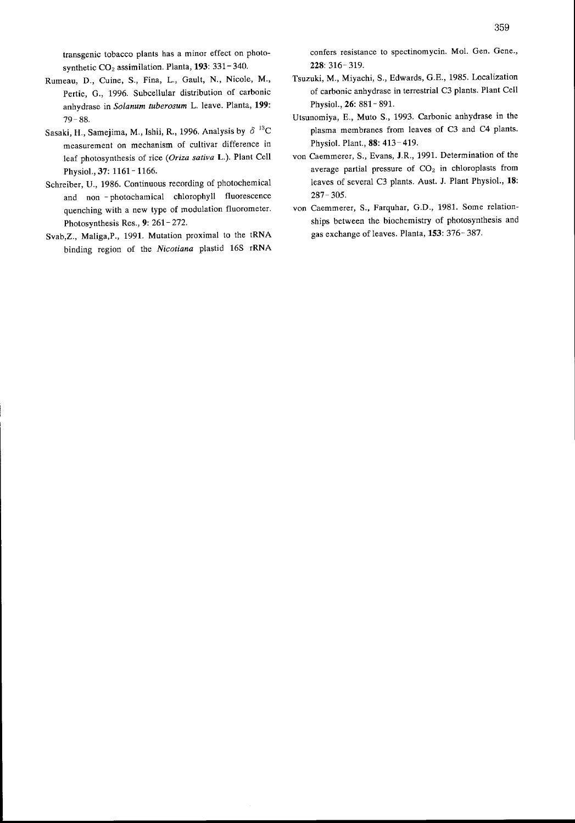transgenic tobacco plants has a minor effect on photosynthetic  $CO<sub>2</sub>$  assimilation. Planta, 193: 331-340.

- Rumeau, D., Cuine, S., Fina, L., Gault, N., Nicole, M., Pertie, G., 1996. Subcellular distribution of carbonic anhydrase in Solanum tuberosum L. Ieave. Planta, 199: 79- 88.
- Sasaki, H., Samejima, M., Ishii, R., 1996. Analysis by  $\delta$ <sup>13</sup>C measurement on mechanism of cultivar difference in leaf photosynthesis of rice (Oriza sativa L.). Plant Cell Physiol., 37: 1161 - 1166.
- Schreiber, U., 1986. Continuous recording of photochemical and non - photochamical chlorophyll fluorescence quenching with a new type of modulation fluorometer Photosynthesis Res.,  $9: 261 - 272$ .
- Svab,Z.. Maliga,P., 1991. Mutation proximal to the tRNA binding region of the Nicotiana plastid 16S rRNA

confers resistance to spectinomycin. Mol. Gen. Gene., 228: 316-319.

- Tsuzuki, M., Miyachi, S., Edwards, G.E., 1985. Localization of carbonic anhydrase in terrestrial C3 plants. Plant Cell Physiol., 26: 881 - 891.
- Utsunomiya. E., Muto S., 1993. Carbonic anhydrase in the plasma membranes from leaves of C3 and C4 plants. Physiol. Plant., 88: 413- 419.
- von Caemmerer, S., Evans, J.R., 1991. Determination of the average partial pressure of  $CO<sub>2</sub>$  in chloroplasts from leaves of several C3 plants. Aust. J. Plant Physiol., 18:  $287 - 305$
- von Caemmerer, S., Farquhar, G.D., 1981. Some relationships between the biochemistry of photosynthesis and gas exchange of leaves. Planta, 153: 376- 387.